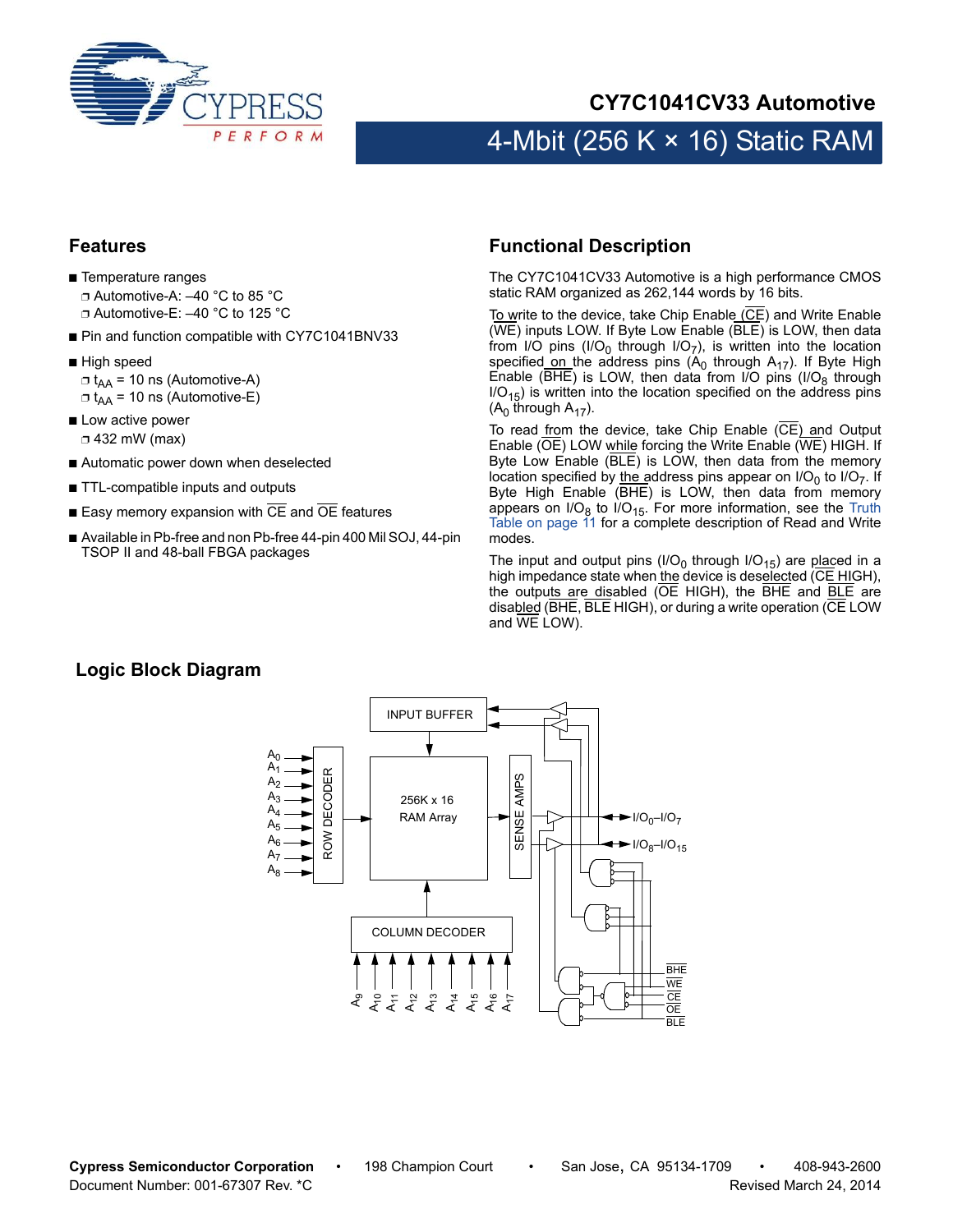

## **CY7C1041CV33 Automotive**

# 4-Mbit (256 K  $\times$  16) Static RAM

#### <span id="page-0-1"></span>**Features**

- Temperature ranges ❐ Automotive-A: –40 °C to 85 °C ❐ Automotive-E: –40 °C to 125 °C
- Pin and function compatible with CY7C1041BNV33
- High speed  $\Box$  t<sub>AA</sub> = 10 ns (Automotive-A)  $\Box$  t<sub>AA</sub> = 10 ns (Automotive-E)
- Low active power ❐ 432 mW (max)
- Automatic power down when deselected
- TTL-compatible inputs and outputs
- $\blacksquare$  Easy memory expansion with  $\overline{\text{CE}}$  and  $\overline{\text{OE}}$  features
- Available in Pb-free and non Pb-free 44-pin 400 Mil SOJ, 44-pin TSOP II and 48-ball FBGA packages

#### <span id="page-0-0"></span>**Functional Description**

The CY7C1041CV33 Automotive is a high performance CMOS static RAM organized as 262,144 words by 16 bits.

To write to the device, take Chip Enable (CE) and Write Enable (WE) inputs LOW. If Byte Low Enable (BLE) is LOW, then data from I/O pins (I/O<sub>0</sub> through I/O<sub>7</sub>), is written into the location specified on the address pins  $(A_0$  through  $A_{17}$ ). If Byte High Enable (BHE) is LOW, then data from I/O pins (I/O $_8$  through  $IO<sub>15</sub>$ ) is written into the location specified on the address pins  $(A<sub>0</sub>$  through  $A<sub>17</sub>$ ).

To read from the device, take Chip Enable (CE) and Output Enable (OE) LOW while forcing the Write Enable (WE) HIGH. If Byte Low Enable (BLE) is LOW, then data from the memory location specified by the address pins appear on  $IO<sub>0</sub>$  to  $IO<sub>7</sub>$ . If Byte High Enable (BHE) is LOW, then data from memory appears on I/O<sub>8</sub> to I/O<sub>15</sub>. For more information, see the [Truth](#page-10-0) [Table on page 11](#page-10-0) for a complete description of Read and Write modes.

The input and output pins (I/O<sub>0</sub> through I/O<sub>15</sub>) are placed in a high impedance state when the device is deselected (CE HIGH), the outputs are disabled (OE HIGH), the BHE and **BLE** are disabled (BHE, BLE HIGH), or during a write operation (CE LOW and WE LOW).

#### **Logic Block Diagram**

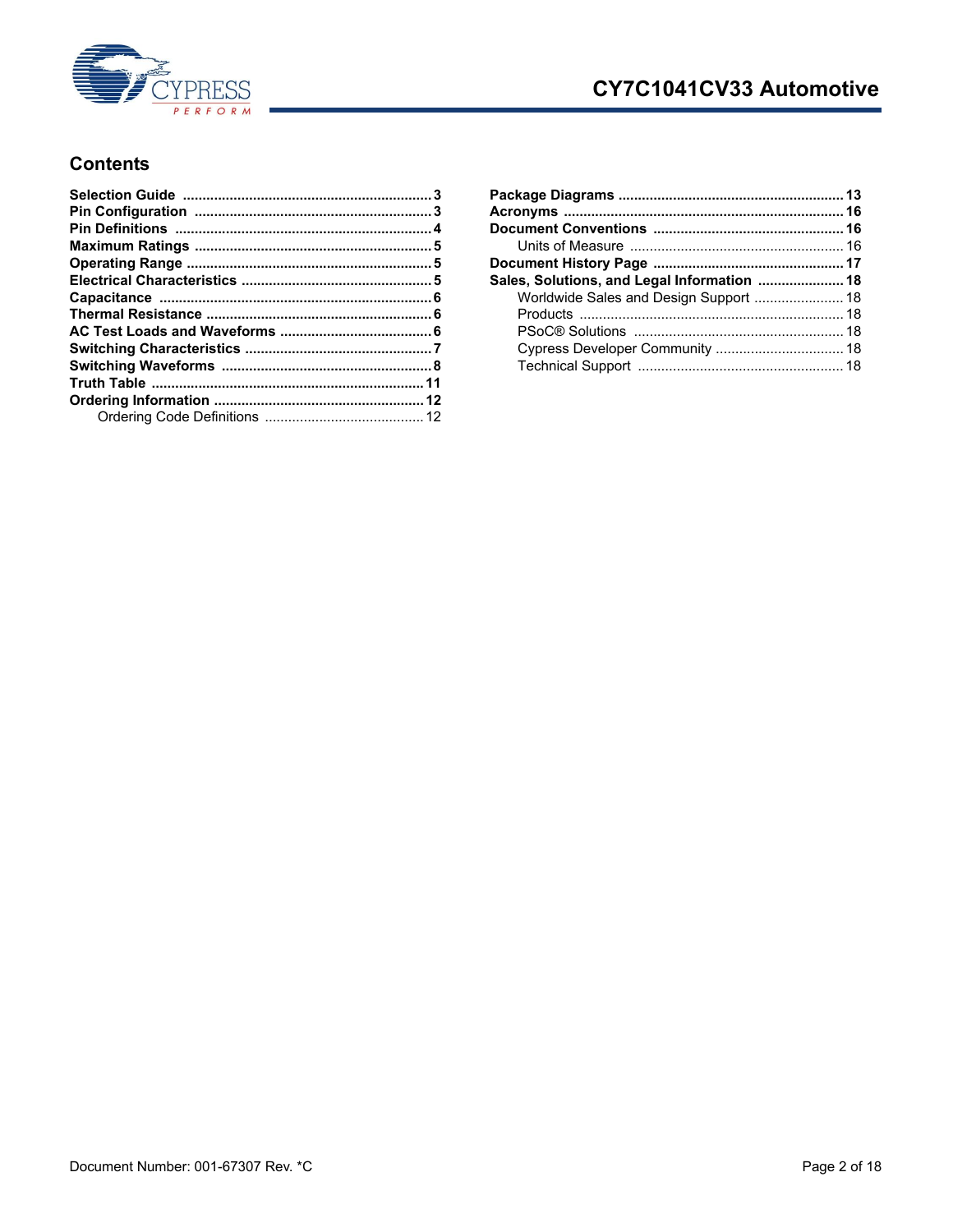

## CY7C1041CV33 Automotive

#### **Contents**

| Sales, Solutions, and Legal Information  18 |  |
|---------------------------------------------|--|
|                                             |  |
|                                             |  |
|                                             |  |
|                                             |  |
|                                             |  |
|                                             |  |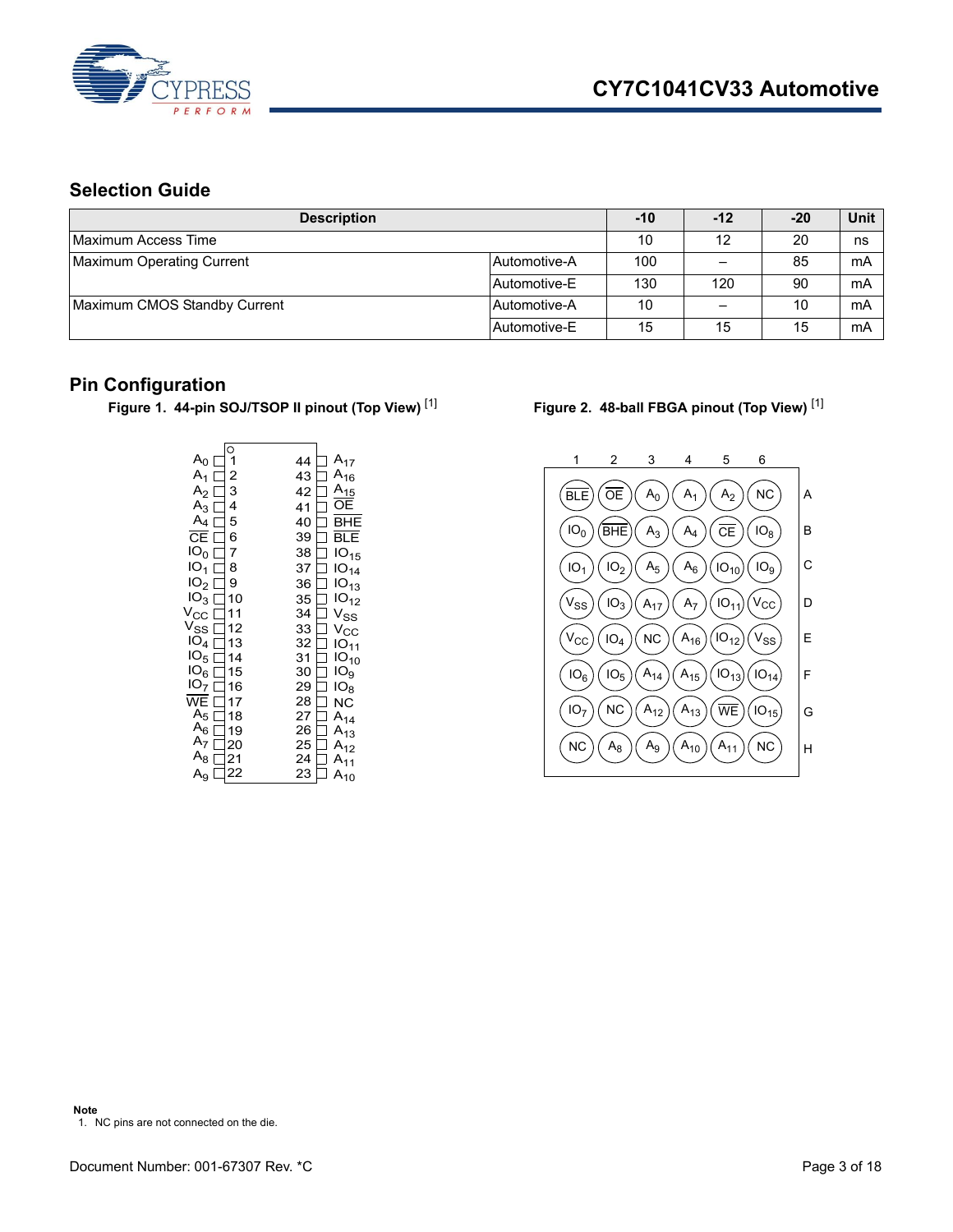

## <span id="page-2-0"></span>**Selection Guide**

| <b>Description</b>                        | $-10$        | $-12$ | $-20$ | <b>Unit</b> |    |
|-------------------------------------------|--------------|-------|-------|-------------|----|
| Maximum Access Time                       | 10           | 12    | 20    | ns          |    |
| Maximum Operating Current<br>Automotive-A |              | 100   |       | 85          | mA |
|                                           | Automotive-E | 130   | 120   | 90          | mA |
| Maximum CMOS Standby Current              | Automotive-A | 10    |       | 10          | mA |
|                                           | Automotive-E | 15    | 15    | 15          | mA |

#### <span id="page-2-1"></span>**Pin Configuration**

Figure 1. 44-pin SOJ/TSOP II pinout (Top View)<sup>[[1\]](#page-2-2)</sup> Figure 2. 48-ball FBGA pinout (Top View)<sup>[\[1](#page-2-2)]</sup>

<span id="page-2-2"></span>

|                                             | O  |    |                  |
|---------------------------------------------|----|----|------------------|
| $A_0$                                       |    | 44 | $A_{17}$         |
| $A_1 \perp$                                 | 2  | 43 | $A_{16}$         |
| $A_2 \Box$                                  | 3  | 42 | $A_{15}$         |
| $A_3$ [                                     | 4  | 41 | ОE               |
| $A_4$ $\Box$                                | 5  | 40 | <b>BHE</b>       |
| CE<br>$\mathbf{I}$                          | 6  | 39 | BLE              |
| IO <sub>0</sub><br>$\overline{\phantom{a}}$ | 7  | 38 | IO <sub>15</sub> |
| IO <sub>1</sub>                             | 8  | 37 | IO <sub>14</sub> |
| IO <sub>2</sub>                             | 9  | 36 | IO <sub>13</sub> |
| IO <sub>3</sub>                             | 10 | 35 | IO <sub>12</sub> |
| $V_{\rm CC}$                                | 11 | 34 | $V_{SS}$         |
| $V_{SS}$                                    | 12 | 33 | $V_{\rm CC}$     |
| IO <sub>4</sub>                             | 13 | 32 | $IO_{11}$        |
| IO <sub>5</sub>                             | 14 | 31 | $IO_{10}$        |
| IO <sub>6</sub>                             | 15 | 30 | IO <sub>9</sub>  |
| IO <sub>7</sub>                             | 16 | 29 | IO <sub>8</sub>  |
| $\overline{\mathsf{WE}}$                    | 17 | 28 | <b>NC</b>        |
| A <sub>5</sub>                              | 18 | 27 | $A_{14}$         |
| $A_6$                                       | 19 | 26 | $A_{13}$         |
| A <sub>7</sub>                              | 20 | 25 | $A_{12}$         |
| $A_8$                                       | 21 | 24 | $A_{11}$         |
| $A_9$                                       | 22 | 23 | $A_{10}$         |

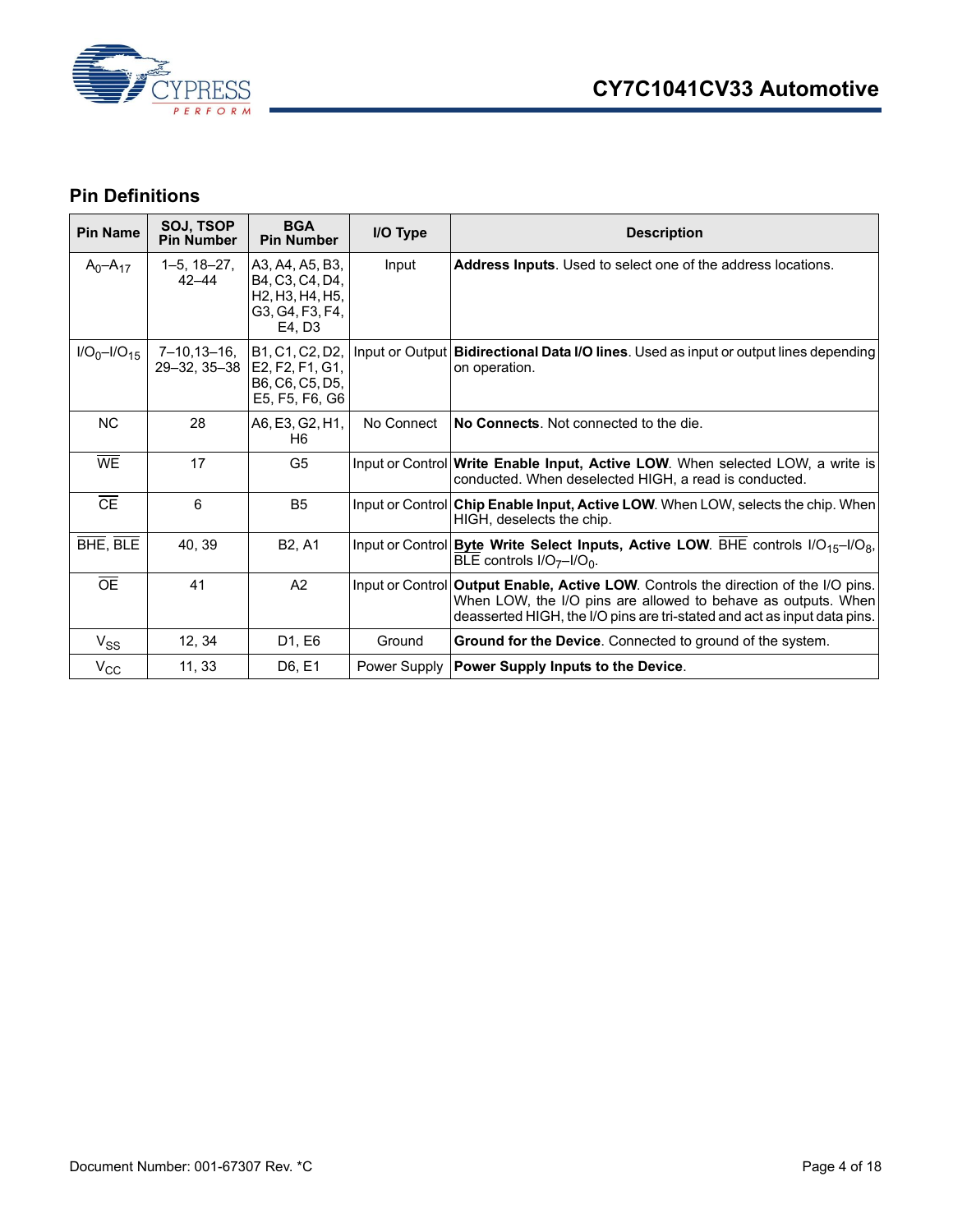

## <span id="page-3-0"></span>**Pin Definitions**

| <b>Pin Name</b>    | SOJ, TSOP<br><b>Pin Number</b>     | <b>BGA</b><br><b>Pin Number</b>                                                    | I/O Type     | <b>Description</b>                                                                                                                                                                                                               |
|--------------------|------------------------------------|------------------------------------------------------------------------------------|--------------|----------------------------------------------------------------------------------------------------------------------------------------------------------------------------------------------------------------------------------|
| $A_0 - A_{17}$     | $1-5, 18-27,$<br>$42 - 44$         | A3, A4, A5, B3,<br>B4, C3, C4, D4,<br>H2, H3, H4, H5,<br>G3, G4, F3, F4,<br>E4. D3 | Input        | Address Inputs. Used to select one of the address locations.                                                                                                                                                                     |
| $I/O_0 - I/O_{15}$ | $7 - 10, 13 - 16,$<br>29-32, 35-38 | B1, C1, C2, D2,<br>E2, F2, F1, G1,<br>B6, C6, C5, D5,<br>E5, F5, F6, G6            |              | Input or Output   Bidirectional Data I/O lines. Used as input or output lines depending<br>on operation.                                                                                                                         |
| <b>NC</b>          | 28                                 | A6, E3, G2, H1,<br>H6                                                              | No Connect   | No Connects. Not connected to the die.                                                                                                                                                                                           |
| WE                 | 17                                 | G <sub>5</sub>                                                                     |              | Input or Control Write Enable Input, Active LOW. When selected LOW, a write is<br>conducted. When deselected HIGH, a read is conducted.                                                                                          |
| $\overline{CE}$    | 6                                  | B <sub>5</sub>                                                                     |              | Input or Control Chip Enable Input, Active LOW. When LOW, selects the chip. When<br>HIGH, deselects the chip.                                                                                                                    |
| BHE, BLE           | 40, 39                             | B <sub>2</sub> , A <sub>1</sub>                                                    |              | Input or Control Byte Write Select Inputs, Active LOW. BHE controls I/O <sub>15</sub> -I/O <sub>8</sub> ,<br>BLE controls $I/O_{7}$ - $I/O_{0}$ .                                                                                |
| $\overline{OE}$    | 41                                 | A2                                                                                 |              | Input or Control Output Enable, Active LOW. Controls the direction of the I/O pins.<br>When LOW, the I/O pins are allowed to behave as outputs. When<br>deasserted HIGH, the I/O pins are tri-stated and act as input data pins. |
| $V_{SS}$           | 12, 34                             | D <sub>1</sub> , E <sub>6</sub>                                                    | Ground       | <b>Ground for the Device.</b> Connected to ground of the system.                                                                                                                                                                 |
| $V_{\rm CC}$       | 11, 33                             | D6, E1                                                                             | Power Supply | Power Supply Inputs to the Device.                                                                                                                                                                                               |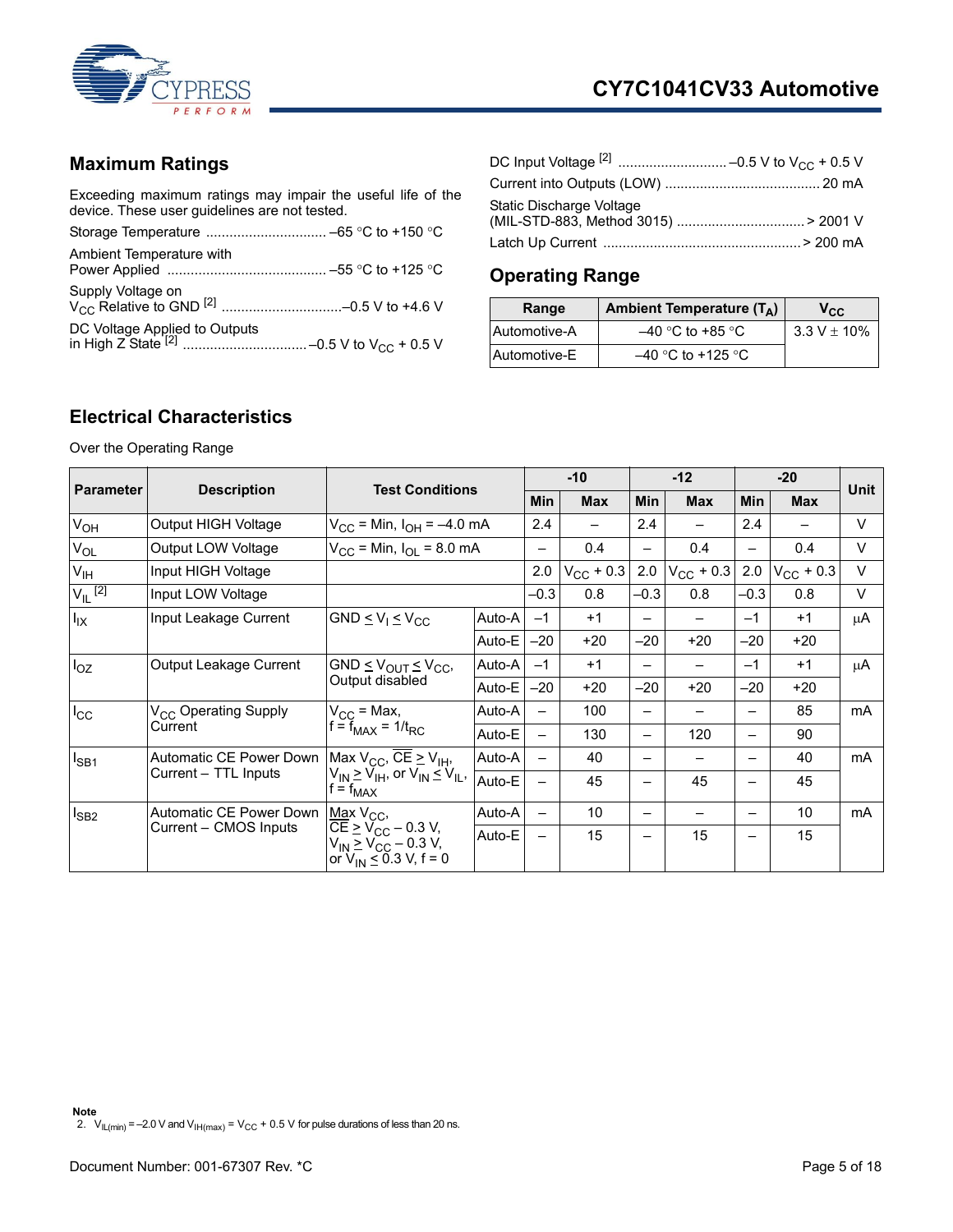

## <span id="page-4-0"></span>**Maximum Ratings**

Exceeding maximum ratings may impair the useful life of the device. These user guidelines are not tested.

| Ambient Temperature with |  |
|--------------------------|--|
|                          |  |
|                          |  |

| Static Discharge Voltage |  |
|--------------------------|--|
|                          |  |

## <span id="page-4-1"></span>**Operating Range**

| Range        | Ambient Temperature $(T_A)$ | $\mathsf{v}_{\text{cc}}$ |
|--------------|-----------------------------|--------------------------|
| Automotive-A | $-40$ °C to +85 °C          | $3.3 V \pm 10\%$         |
| Automotive-E | $-40$ °C to +125 °C         |                          |

#### <span id="page-4-2"></span>**Electrical Characteristics**

Over the Operating Range

<span id="page-4-3"></span>

| <b>Parameter</b>               | <b>Description</b>               | <b>Test Conditions</b>                                                                                        |        | $-10$                    |                | $-12$                    |                    | $-20$                    |                    | Unit   |
|--------------------------------|----------------------------------|---------------------------------------------------------------------------------------------------------------|--------|--------------------------|----------------|--------------------------|--------------------|--------------------------|--------------------|--------|
|                                |                                  |                                                                                                               |        | Min                      | <b>Max</b>     | <b>Min</b>               | <b>Max</b>         | <b>Min</b>               | <b>Max</b>         |        |
| V <sub>OH</sub>                | Output HIGH Voltage              | $V_{\rm CC}$ = Min, $I_{\rm OH}$ = -4.0 mA                                                                    |        | 2.4                      |                | 2.4                      |                    | 2.4                      |                    | $\vee$ |
| $V_{OL}$                       | Output LOW Voltage               | $V_{\rm CC}$ = Min, $I_{\rm O}$ = 8.0 mA                                                                      |        |                          | 0.4            | —                        | 0.4                |                          | 0.4                | $\vee$ |
| V <sub>IH</sub>                | Input HIGH Voltage               |                                                                                                               |        | 2.0                      | $V_{CC}$ + 0.3 | 2.0                      | $V_{\rm CC}$ + 0.3 | 2.0                      | $V_{\rm CC}$ + 0.3 | $\vee$ |
| $V_{\parallel}$ <sup>[2]</sup> | Input LOW Voltage                |                                                                                                               |        | $-0.3$                   | 0.8            | $-0.3$                   | 0.8                | $-0.3$                   | 0.8                | $\vee$ |
| $I_{IX}$                       | Input Leakage Current            | GND $\leq$ $V_1 \leq$ $V_{CC}$                                                                                | Auto-A | $-1$                     | $+1$           |                          |                    | $-1$                     | $+1$               | μA     |
|                                |                                  |                                                                                                               | Auto-E | $-20$                    | $+20$          | $-20$                    | $+20$              | $-20$                    | $+20$              |        |
| $I_{OZ}$                       | Output Leakage Current           | GND $\leq$ $V_{OUT}$ $\leq$ $V_{CC}$ ,                                                                        | Auto-A | $-1$                     | $+1$           | —                        |                    | $-1$                     | $+1$               | μA     |
|                                |                                  | Output disabled                                                                                               | Auto-E | $-20$                    | $+20$          | $-20$                    | $+20$              | $-20$                    | $+20$              |        |
| $I_{\rm CC}$                   | V <sub>CC</sub> Operating Supply | $V_{CC}$ = Max,<br>$f = f_{MAX} = 1/t_{RC}$                                                                   | Auto-A |                          | 100            | —                        |                    |                          | 85                 | mA     |
|                                | Current                          |                                                                                                               | Auto-E | $\overline{\phantom{0}}$ | 130            | $\overline{\phantom{0}}$ | 120                | $\overline{\phantom{0}}$ | 90                 |        |
| $I_{SB1}$                      | Automatic CE Power Down          | Max $V_{CC}$ , CE $\geq$ V <sub>IH</sub> ,                                                                    | Auto-A |                          | 40             | —                        |                    |                          | 40                 | mA     |
|                                | Current - TTL Inputs             | $V_{IN} \geq V_{IH}$ , or $V_{IN} \leq V_{IL}$ ,<br>$f = f_{MAX}$                                             | Auto-E | —                        | 45             | $\overline{\phantom{0}}$ | 45                 | $\overline{\phantom{0}}$ | 45                 |        |
| $I_{SB2}$                      | Automatic CE Power Down          | Max $V_{CC}$ ,                                                                                                | Auto-A | $\overline{\phantom{0}}$ | 10             | —                        |                    |                          | 10                 | mA     |
|                                | Current - CMOS Inputs            | $CE \geq V_{CC} - 0.3 V$ ,<br>$V_{\text{IN}}$ $\geq$ $V_{\text{CC}}$ – 0.3 V,<br>or $V_{IN} \le 0.3$ V, f = 0 | Auto-E | —                        | 15             | $\overline{\phantom{0}}$ | 15                 |                          | 15                 |        |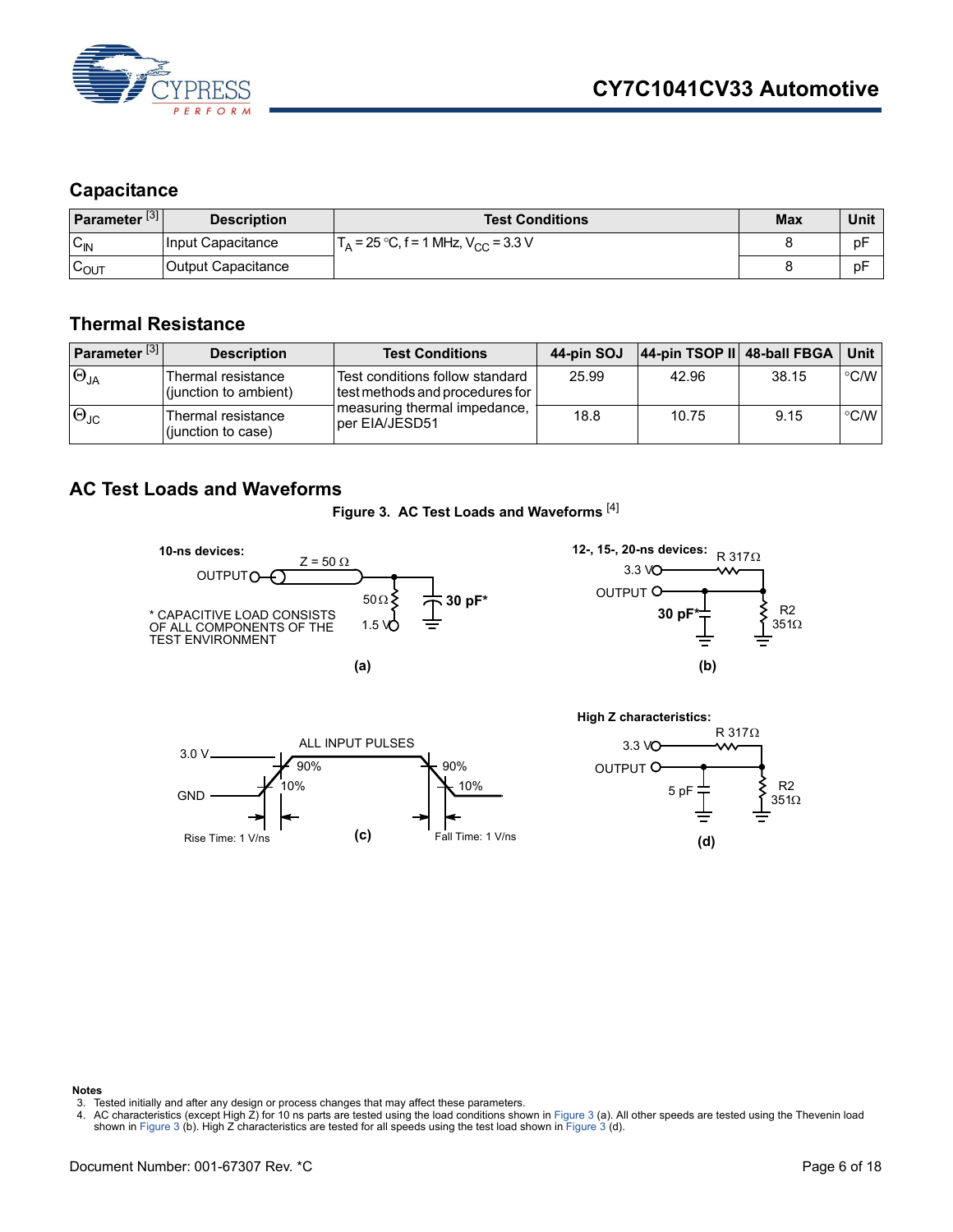

#### <span id="page-5-0"></span>**Capacitance**

| Parameter <sup>[3]</sup> | <b>Description</b> | <b>Test Conditions</b>                                       | <b>Max</b> | Unit |
|--------------------------|--------------------|--------------------------------------------------------------|------------|------|
| $C_{IN}$                 | Input Capacitance  | $\Gamma_{\rm A}$ = 25 °C, f = 1 MHz, V <sub>CC</sub> = 3.3 V |            | рF   |
| $\sim$<br>LOUT           | Output Capacitance |                                                              |            | рF   |

#### <span id="page-5-1"></span>**Thermal Resistance**

| Parameter <sup>[3]</sup> | <b>Description</b>                          | <b>Test Conditions</b>                                             | 44-pin SOJ | 44-pin TSOP II 48-ball FBGA |       | Unit               |
|--------------------------|---------------------------------------------|--------------------------------------------------------------------|------------|-----------------------------|-------|--------------------|
| $\Theta_{JA}$            | Thermal resistance<br>(junction to ambient) | Test conditions follow standard<br>test methods and procedures for | 25.99      | 42.96                       | 38.15 | $\degree$ C/W      |
| $ \Theta_{\text{JC}} $   | Thermal resistance<br>(junction to case)    | Imeasuring thermal impedance,<br>lper EIA/JESD51                   | 18.8       | 10.75                       | 9.15  | $\rm ^{\circ}$ C/W |

#### <span id="page-5-4"></span><span id="page-5-2"></span>**AC Test Loads and Waveforms**

**Figure 3. AC Test Loads and Waveforms** [[4\]](#page-5-3)









**Notes**

- <span id="page-5-5"></span>3. Tested initially and after any design or process changes that may affect these parameters.
- <span id="page-5-3"></span>4. AC characteristics (except High Z) for 10 ns parts are tested using the load conditions shown in [Figure 3](#page-5-4) (a). All other speeds are tested using the Thevenin load<br>shown in [Figure 3](#page-5-4) (b). High Z characteristics are tested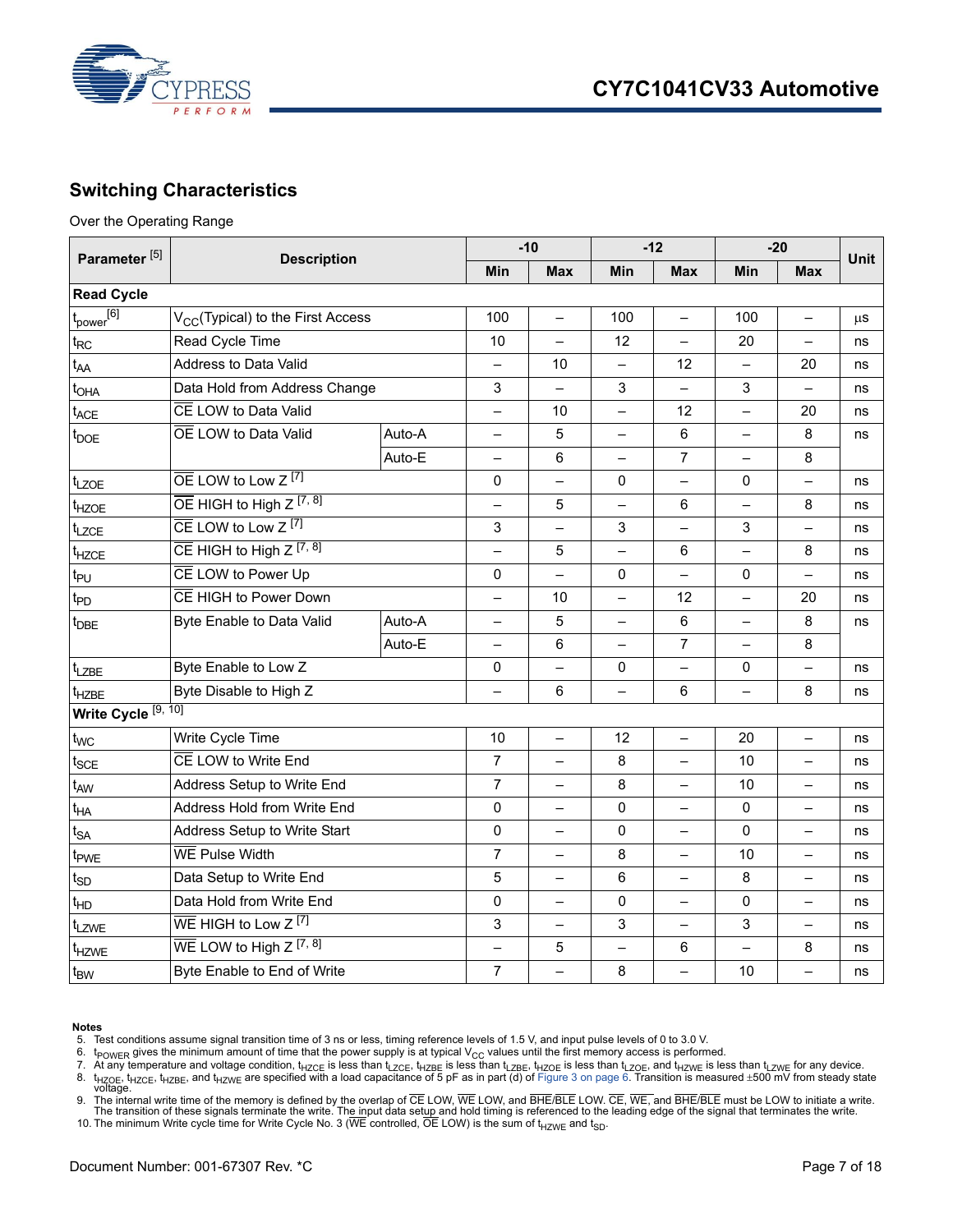

#### <span id="page-6-0"></span>**Switching Characteristics**

Over the Operating Range

|                                | Parameter <sup>[5]</sup><br><b>Description</b>      |        |                          | $-10$                    |                          | $-12$                    |                          | $-20$                    |             |
|--------------------------------|-----------------------------------------------------|--------|--------------------------|--------------------------|--------------------------|--------------------------|--------------------------|--------------------------|-------------|
|                                |                                                     |        | Min                      | <b>Max</b>               | Min                      | <b>Max</b>               | Min                      | <b>Max</b>               | <b>Unit</b> |
| <b>Read Cycle</b>              |                                                     |        |                          |                          |                          |                          |                          |                          |             |
| $t_{power}$ <sup>[6]</sup>     | V <sub>CC</sub> (Typical) to the First Access       |        | 100                      |                          | 100                      |                          | 100                      |                          | μS          |
| $t_{\sf RC}$                   | Read Cycle Time                                     |        | 10                       | $\overline{\phantom{0}}$ | 12                       | $\overline{\phantom{0}}$ | 20                       | $-$                      | ns          |
| $t_{AA}$                       | Address to Data Valid                               |        | $\qquad \qquad -$        | 10                       | $\equiv$                 | 12                       | $\overline{\phantom{0}}$ | 20                       | ns          |
| $t_{\text{OHA}}$               | Data Hold from Address Change                       |        | 3                        |                          | 3                        |                          | 3                        |                          | ns          |
| ${\mathfrak{t}}_{\sf ACE}$     | CE LOW to Data Valid                                |        | —                        | 10                       | $\overline{\phantom{0}}$ | 12                       | $\qquad \qquad -$        | 20                       | ns          |
| $t_{\text{DOE}}$               | OE LOW to Data Valid                                | Auto-A | $\overline{\phantom{0}}$ | 5                        | $\overline{\phantom{0}}$ | 6                        | $\overline{\phantom{0}}$ | 8                        | ns          |
|                                |                                                     | Auto-E |                          | 6                        |                          | $\overline{7}$           |                          | 8                        |             |
| t <sub>LZOE</sub>              | $\overline{OE}$ LOW to Low Z $^{[7]}$               |        | 0                        | $\overline{\phantom{0}}$ | 0                        | $\qquad \qquad -$        | 0                        | $\overline{\phantom{0}}$ | ns          |
| t <sub>HZOE</sub>              | $\overline{OE}$ HIGH to High Z $[7, 8]$             |        | $\overline{\phantom{0}}$ | 5                        | $\overline{\phantom{0}}$ | 6                        | $\equiv$                 | 8                        | ns          |
| t <sub>LZCE</sub>              | $\overline{CE}$ LOW to Low Z <sup>[7]</sup>         |        | 3                        |                          | 3                        |                          | 3                        |                          | ns          |
| t <sub>HZCE</sub>              | CE HIGH to High $Z^{[7, 8]}$                        |        | —                        | 5                        | —                        | 6                        | $\overline{\phantom{0}}$ | 8                        | ns          |
| $t_{PU}$                       | CE LOW to Power Up                                  |        | $\mathbf{0}$             | $\overline{\phantom{0}}$ | $\Omega$                 | $\overline{\phantom{0}}$ | $\Omega$                 | $\overline{a}$           | ns          |
| t <sub>PD</sub>                | CE HIGH to Power Down                               |        |                          | 10                       | $\overline{\phantom{0}}$ | 12                       |                          | 20                       | ns          |
| <sup>T</sup> DBE               | Byte Enable to Data Valid                           | Auto-A | —                        | 5                        | $\overline{\phantom{0}}$ | $\,6\,$                  | $\overline{\phantom{0}}$ | 8                        | ns          |
|                                |                                                     | Auto-E | $\overline{\phantom{0}}$ | 6                        |                          | $\overline{7}$           | $\overline{\phantom{0}}$ | 8                        |             |
| t <sub>LZBE</sub>              | Byte Enable to Low Z                                |        | 0                        |                          | 0                        | $\overline{ }$           | 0                        |                          | ns          |
| t <sub>HZBE</sub>              | Byte Disable to High Z                              |        |                          | 6                        | $\overline{\phantom{0}}$ | 6                        | $\overline{\phantom{0}}$ | 8                        | ns          |
| Write Cycle <sup>[9, 10]</sup> |                                                     |        |                          |                          |                          |                          |                          |                          |             |
| $t_{WC}$                       | Write Cycle Time                                    |        | 10                       | $\overline{\phantom{0}}$ | 12                       | $\equiv$                 | 20                       |                          | ns          |
| $t_{\sf SCE}$                  | CE LOW to Write End                                 |        | $\overline{7}$           | $\overline{\phantom{0}}$ | 8                        | -                        | 10                       | $\qquad \qquad -$        | ns          |
| t <sub>AW</sub>                | Address Setup to Write End                          |        | $\overline{7}$           | $\overline{\phantom{0}}$ | 8                        | $\equiv$                 | 10                       | $\overline{\phantom{0}}$ | ns          |
| t <sub>HA</sub>                | Address Hold from Write End                         |        | $\mathbf 0$              | $\overline{\phantom{0}}$ | 0                        | $\overline{\phantom{0}}$ | 0                        |                          | ns          |
| ${\rm t}_{\mathsf{SA}}$        | Address Setup to Write Start                        |        | $\Omega$                 | $\overline{\phantom{0}}$ | 0                        |                          | $\Omega$                 |                          | ns          |
| t <sub>PWE</sub>               | WE Pulse Width                                      |        | $\overline{7}$           | $\overline{\phantom{0}}$ | 8                        | $\equiv$                 | 10                       | $\rightarrow$            | ns          |
| t <sub>SD</sub>                | Data Setup to Write End                             |        | 5                        | −                        | 6                        | $\equiv$                 | 8                        |                          | ns          |
| $t_{HD}$                       | Data Hold from Write End                            |        | $\mathbf 0$              | $\overline{\phantom{0}}$ | 0                        | $\qquad \qquad -$        | $\Omega$                 | $\overline{\phantom{0}}$ | ns          |
| t <sub>LZWE</sub>              | $\overline{\text{WE}}$ HIGH to Low Z <sup>[7]</sup> |        | 3                        | $\overline{\phantom{0}}$ | 3                        | $\equiv$                 | 3                        | $\overline{\phantom{0}}$ | ns          |
| t <sub>HZWE</sub>              | WE LOW to High $Z^{[7, 8]}$                         |        |                          | 5                        | $\overline{\phantom{0}}$ | 6                        |                          | 8                        | ns          |
| $t_{BW}$                       | Byte Enable to End of Write                         |        | $\overline{7}$           |                          | 8                        |                          | 10                       |                          | ns          |

#### **Notes**

<span id="page-6-1"></span>5. Test conditions assume signal transition time of 3 ns or less, timing reference levels of 1.5 V, and input pulse levels of 0 to 3.0 V.<br>6. t<sub>POWER</sub> gives the minimum amount of time that the power supply is at typical

<span id="page-6-2"></span>

<span id="page-6-4"></span><span id="page-6-3"></span>7. At any temperature and voltage condition, t<sub>HZCE</sub> is less than t<sub>LZCE</sub>, t<sub>HZBE</sub> is less than t<sub>LZBE</sub>, t<sub>HZOE</sub>, and t<sub>HZWE</sub> is less than t<sub>LZWE</sub> for any device.<br>8. t<sub>HZOE</sub>, t<sub>HZCE</sub>, t<sub>HZBE</sub>, and t<sub>HZWE</sub> are specified wit

<span id="page-6-5"></span>9. The internal write time of the memory is defined by the overlap of CE LOW, WE LOW, and BHE/BLE LOW. CE, WE, and BHE/BLE must be LOW to initiate a write.<br>The transition of these signals terminate the write. Th<u>e in</u>put d

<span id="page-6-6"></span>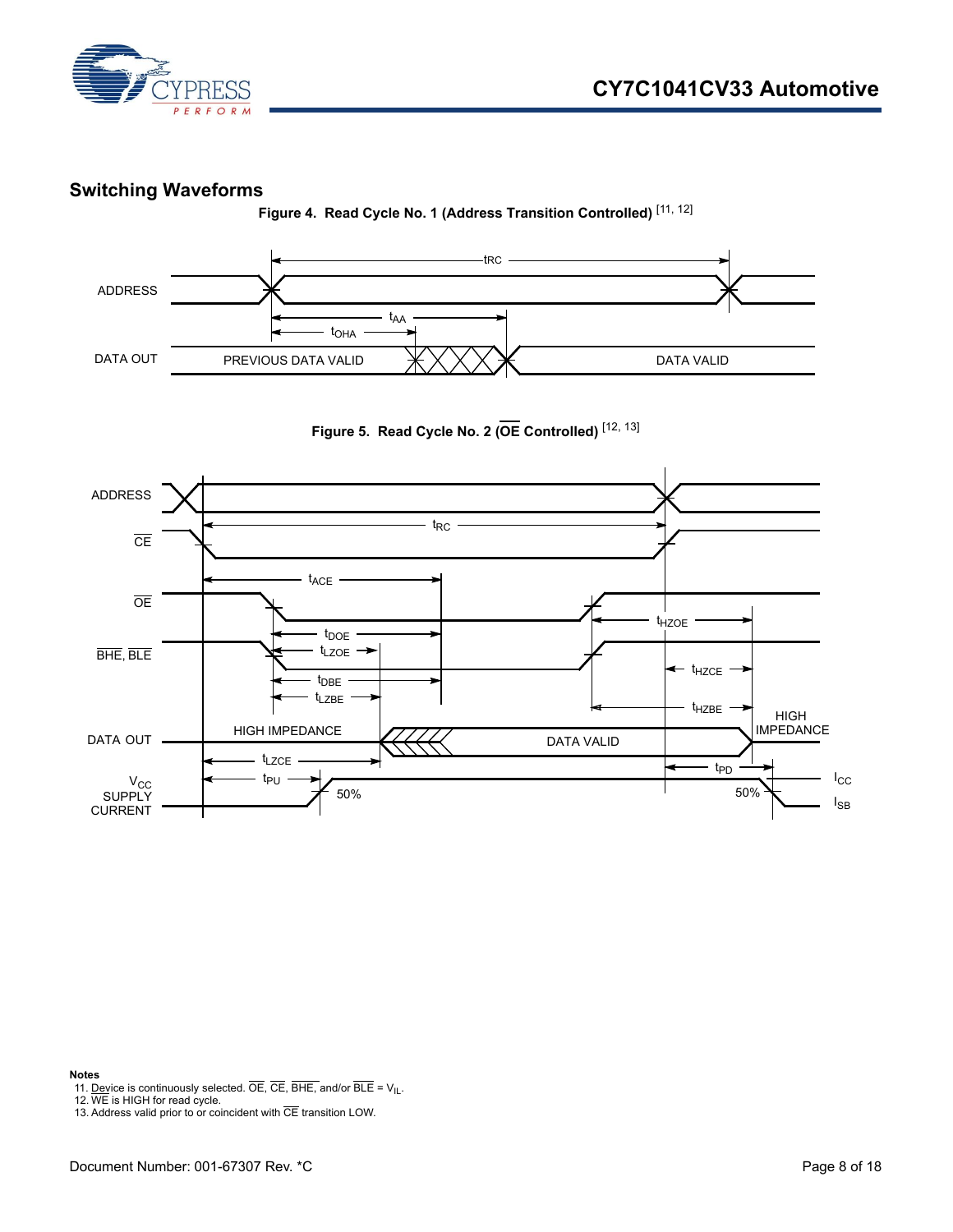

#### <span id="page-7-0"></span>**Switching Waveforms**

**Figure 4. Read Cycle No. 1 (Address Transition Controlled)** [[11](#page-7-1), [12](#page-7-2)]







#### **Notes**

<span id="page-7-1"></span>11. <u>Dev</u>ice is continuously selected. OE, CE, BHE, and/or BLE = V<sub>IL</sub>.<br>12. WE is HIGH for read cycle.

<span id="page-7-2"></span>

<span id="page-7-3"></span><sup>13.</sup> Address valid prior to or coincident with  $\overline{\text{CE}}$  transition LOW.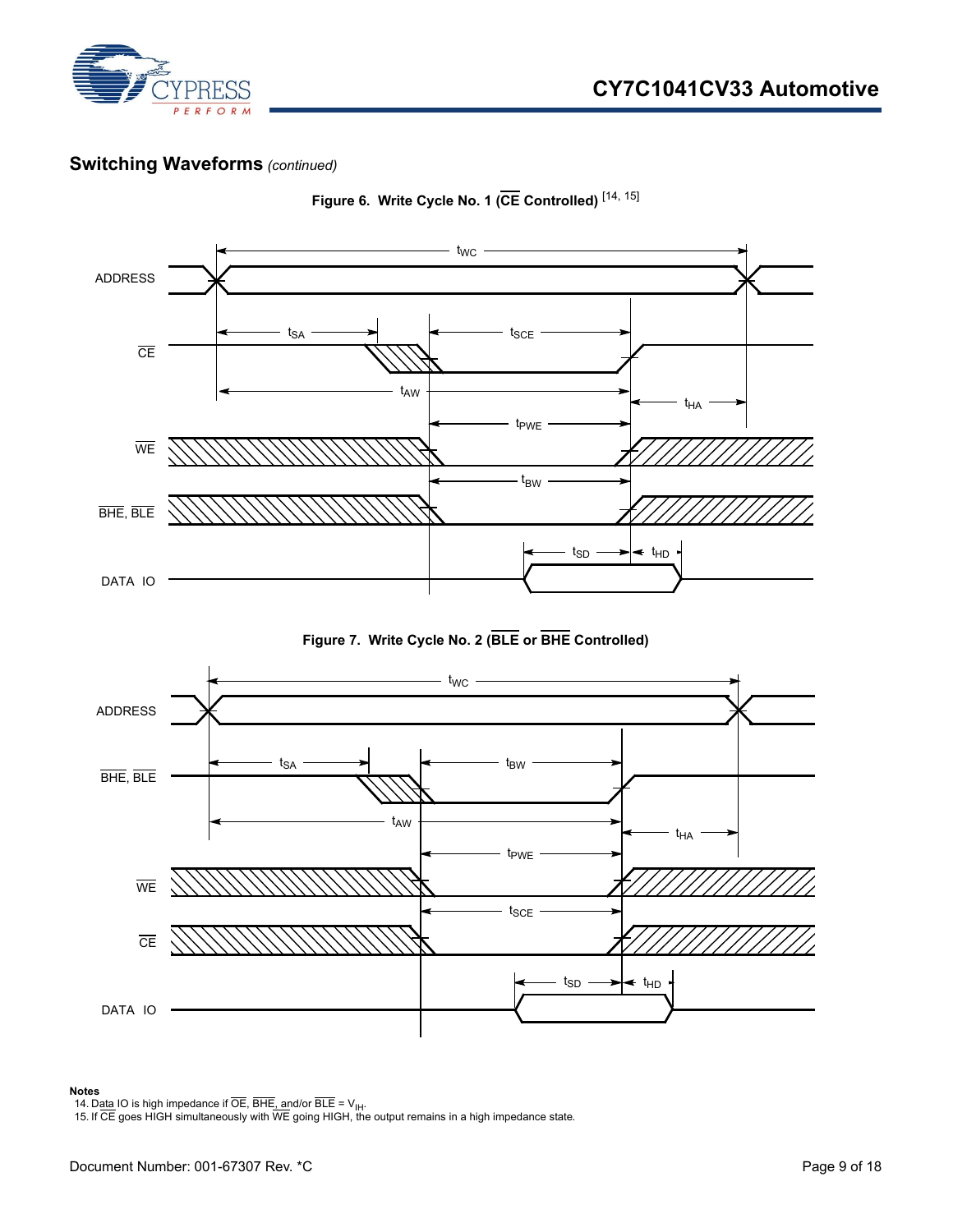

#### **Switching Waveforms** *(continued)*



**Figure 6. Write Cycle No. 1 (CE Controlled)** [\[14](#page-8-0), [15\]](#page-8-1)

**Figure 7. Write Cycle No. 2 (BLE or BHE Controlled)**



#### **Notes**

<span id="page-8-1"></span><span id="page-8-0"></span>14. D<u>ata</u> IO is high impedance if OE, BHE<u>, an</u>d/or BLE = V<sub>IH</sub>.<br>15. If CE goes HIGH simultaneously with WE going HIGH, the output remains in a high impedance state.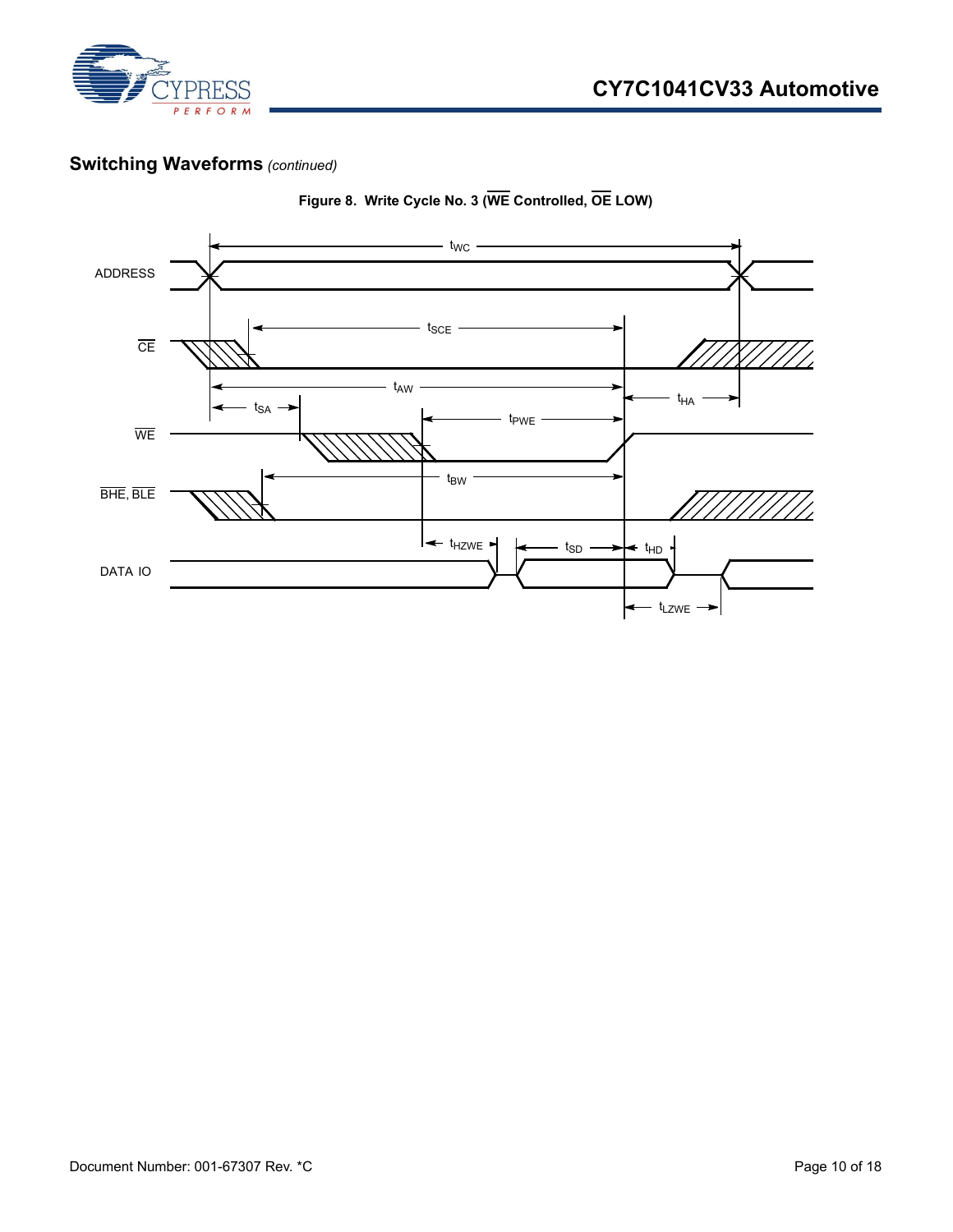

#### **Switching Waveforms** *(continued)*



**Figure 8. Write Cycle No. 3 (WE Controlled, OE LOW)**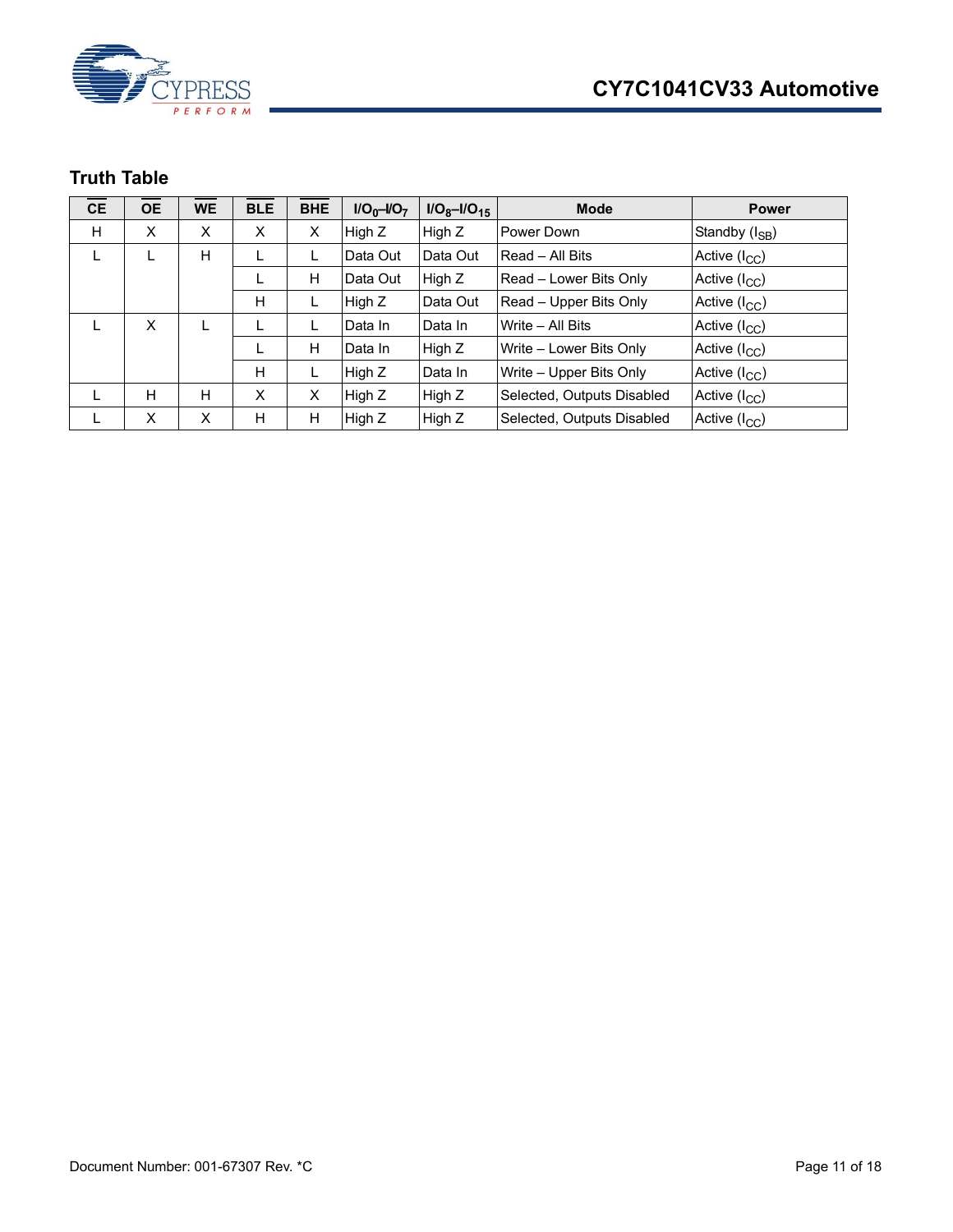



## <span id="page-10-0"></span>**Truth Table**

| <b>CE</b> | <b>OE</b> | <b>WE</b> | <b>BLE</b> | <b>BHE</b> | $I/O_0-I/O_7$ | $I/O_8 - I/O_{15}$ | <b>Mode</b>                | <b>Power</b>               |
|-----------|-----------|-----------|------------|------------|---------------|--------------------|----------------------------|----------------------------|
| H         | X         | X         | X          | X          | High Z        | High Z             | Power Down                 | Standby (I <sub>SB</sub> ) |
| L         |           | н         |            | L          | Data Out      | Data Out           | Read - All Bits            | Active (I <sub>CC</sub> )  |
|           |           |           |            | н          | Data Out      | High Z             | Read - Lower Bits Only     | Active (I <sub>CC</sub> )  |
|           |           |           | H          | L          | High Z        | Data Out           | Read – Upper Bits Only     | Active $(I_{CC})$          |
|           | X         |           |            |            | Data In       | Data In            | Write - All Bits           | Active (I <sub>CC</sub> )  |
|           |           |           |            | н          | Data In       | High Z             | Write - Lower Bits Only    | Active (I <sub>CC</sub> )  |
|           |           |           | H          | L          | High Z        | Data In            | Write - Upper Bits Only    | Active $(I_{CC})$          |
|           | H         | н         | X          | X          | High Z        | High Z             | Selected, Outputs Disabled | Active (I <sub>CC</sub> )  |
| L         | X         | X         | H          | н          | High Z        | High Z             | Selected, Outputs Disabled | Active (I <sub>CC</sub> )  |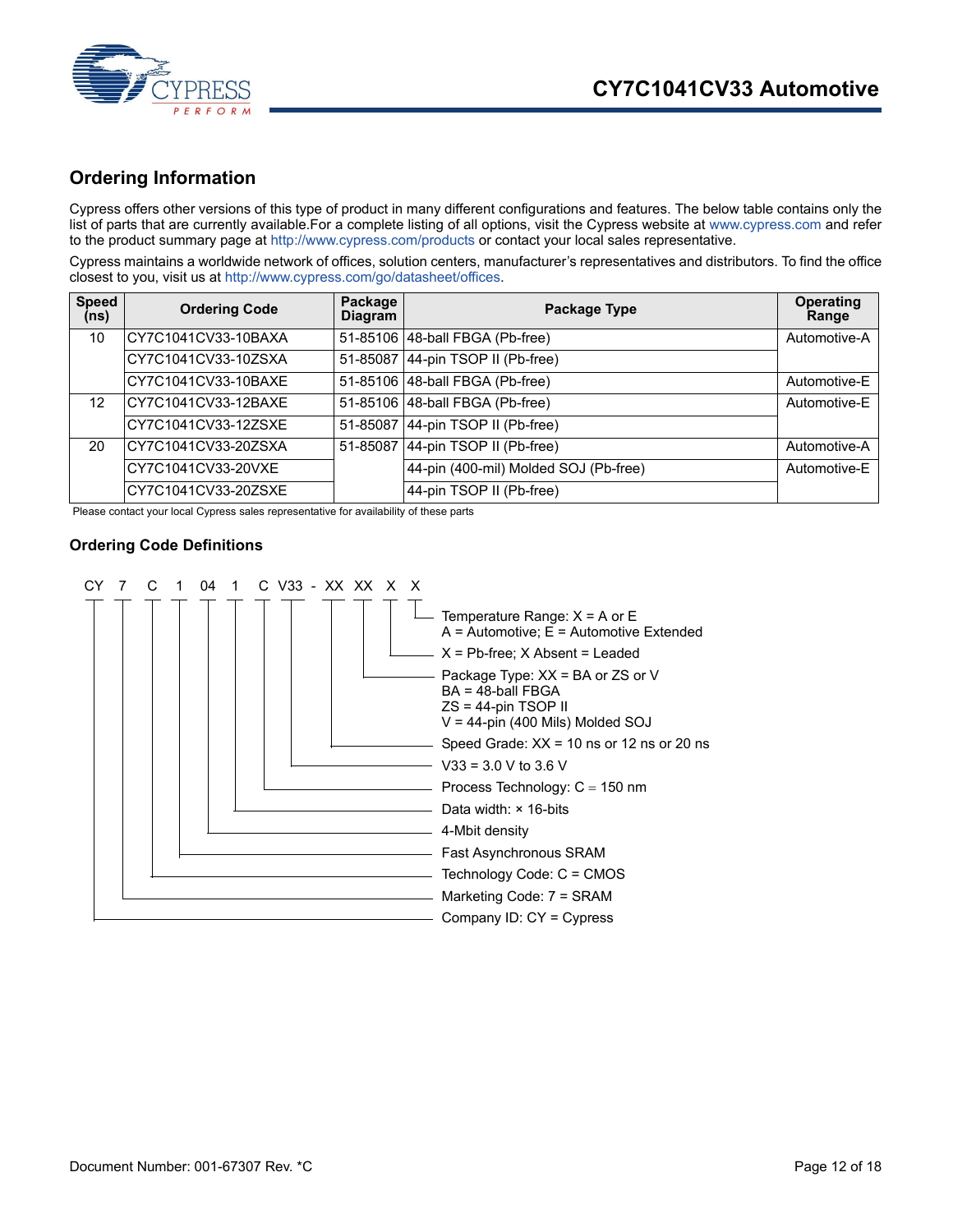



#### <span id="page-11-0"></span>**Ordering Information**

[Cypress offers other versions of this type of product in many different configurations and features. The below table contains only the](www.cypress.com) [list of parts that are currently available.For a complete listing of all options, visit the Cypress website at](www.cypress.com) www.cypress.com and refer to the product summary page at [http://www.cypress.com/products](http://www.cypress.com/products ) or contact your local sales representative.

[Cypress maintains a worldwide network of offices, solution centers, manufacturer's representatives and distributors. To find the office](http://www.cypress.com/go/datasheet/offices) [closest to you, visit us at h](http://www.cypress.com/go/datasheet/offices)ttp://www.cypress.com/go/datasheet/offices.

| <b>Speed</b><br>(ns) | <b>Ordering Code</b> | Package<br><b>Diagram</b> | Package Type                          | <b>Operating</b><br>Range |
|----------------------|----------------------|---------------------------|---------------------------------------|---------------------------|
| 10                   | CY7C1041CV33-10BAXA  |                           | 51-85106 48-ball FBGA (Pb-free)       | Automotive-A              |
|                      | CY7C1041CV33-10ZSXA  |                           | 51-85087 44-pin TSOP II (Pb-free)     |                           |
|                      | CY7C1041CV33-10BAXE  |                           | 51-85106 48-ball FBGA (Pb-free)       | Automotive-E              |
| 12                   | ICY7C1041CV33-12BAXE |                           | 51-85106 48-ball FBGA (Pb-free)       | Automotive-E              |
|                      | CY7C1041CV33-12ZSXE  |                           | 51-85087 44-pin TSOP II (Pb-free)     |                           |
| 20                   | CY7C1041CV33-20ZSXA  | 51-85087                  | 44-pin TSOP II (Pb-free)              | Automotive-A              |
|                      | CY7C1041CV33-20VXE   |                           | 44-pin (400-mil) Molded SOJ (Pb-free) | Automotive-E              |
|                      | CY7C1041CV33-20ZSXE  |                           | 44-pin TSOP II (Pb-free)              |                           |

Please contact your local Cypress sales representative for availability of these parts

#### <span id="page-11-1"></span>**Ordering Code Definitions**

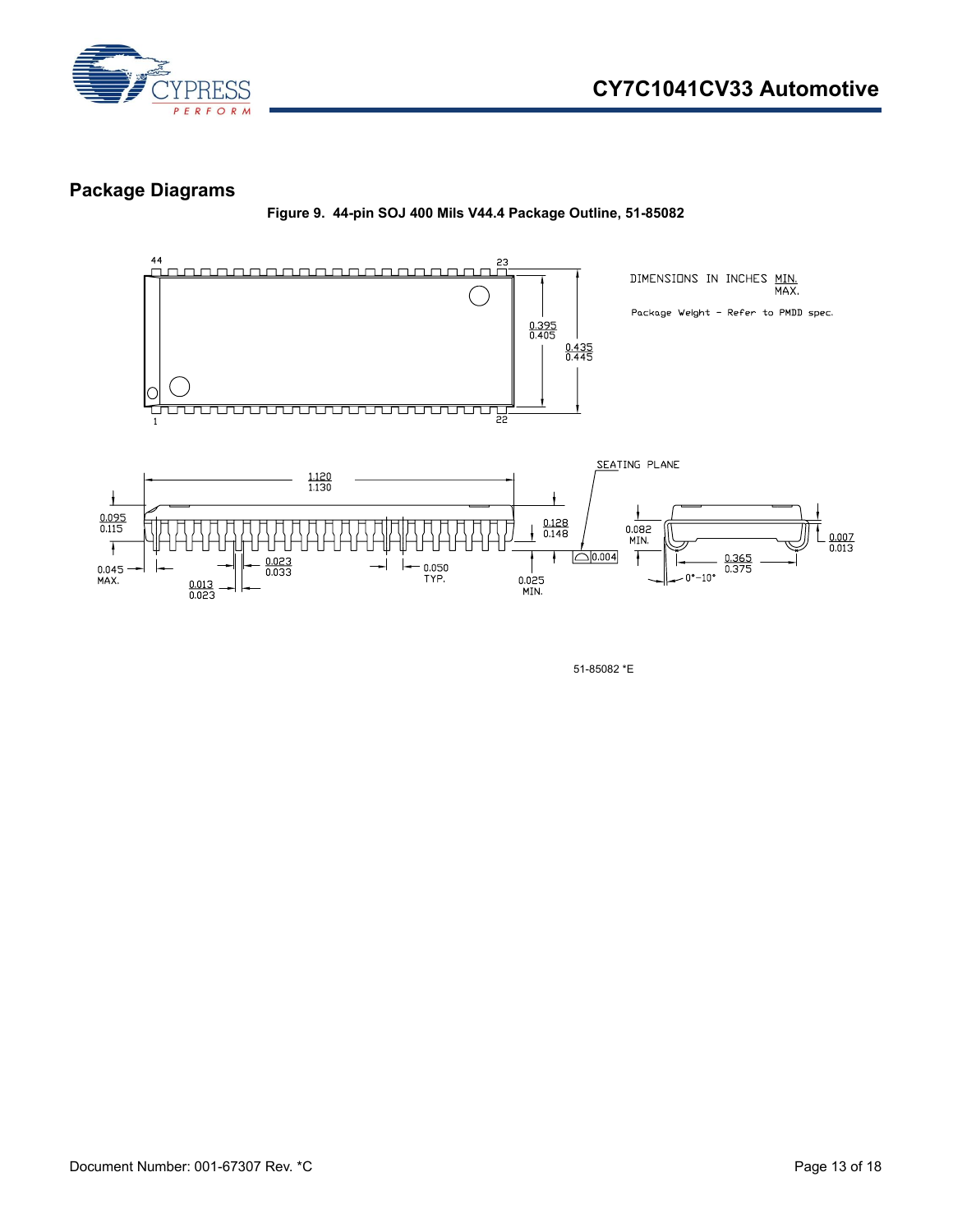

#### <span id="page-12-0"></span>**Package Diagrams**

**Figure 9. 44-pin SOJ 400 Mils V44.4 Package Outline, 51-85082**



51-85082 \*E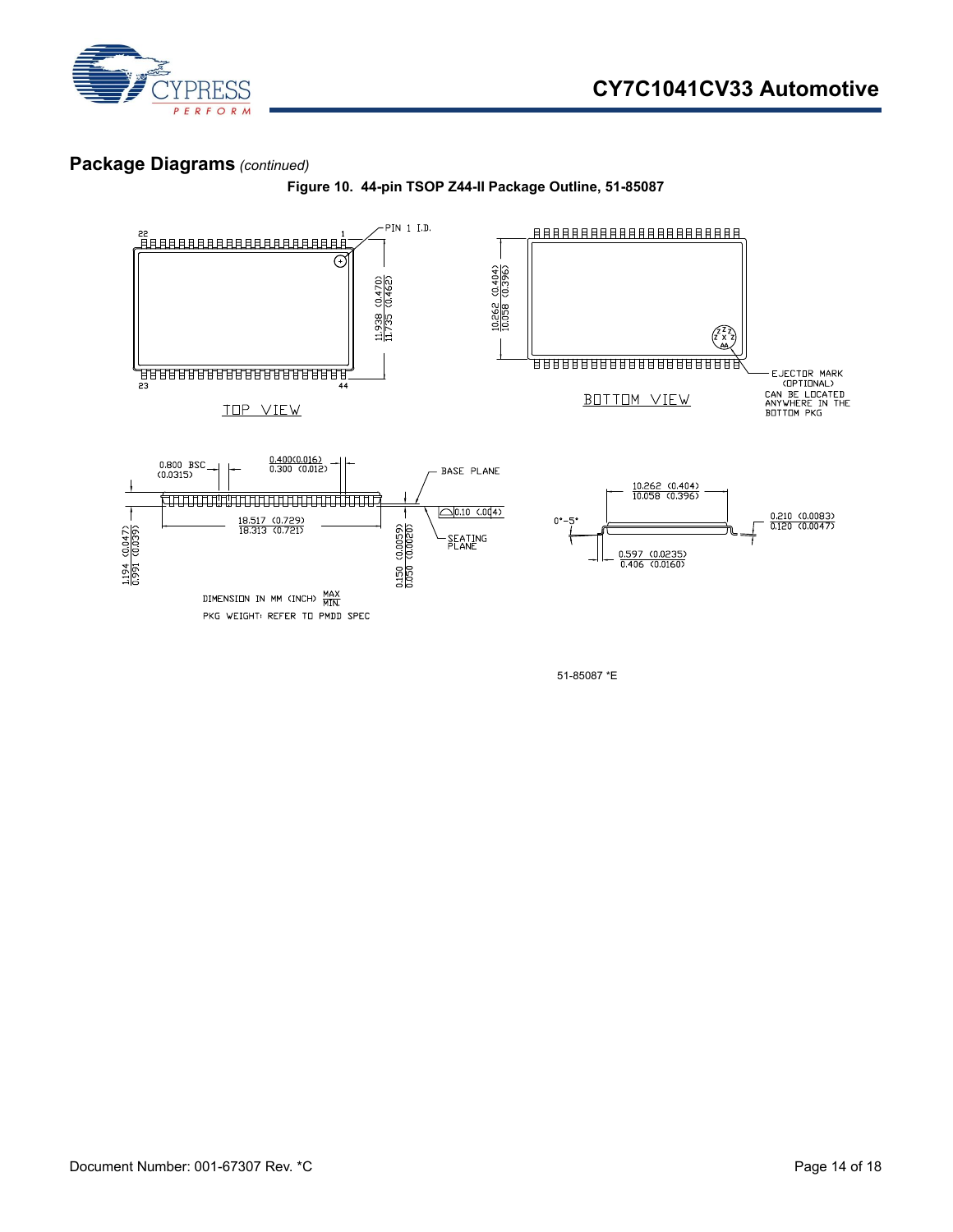

#### **Package Diagrams** *(continued)*





51-85087 \*E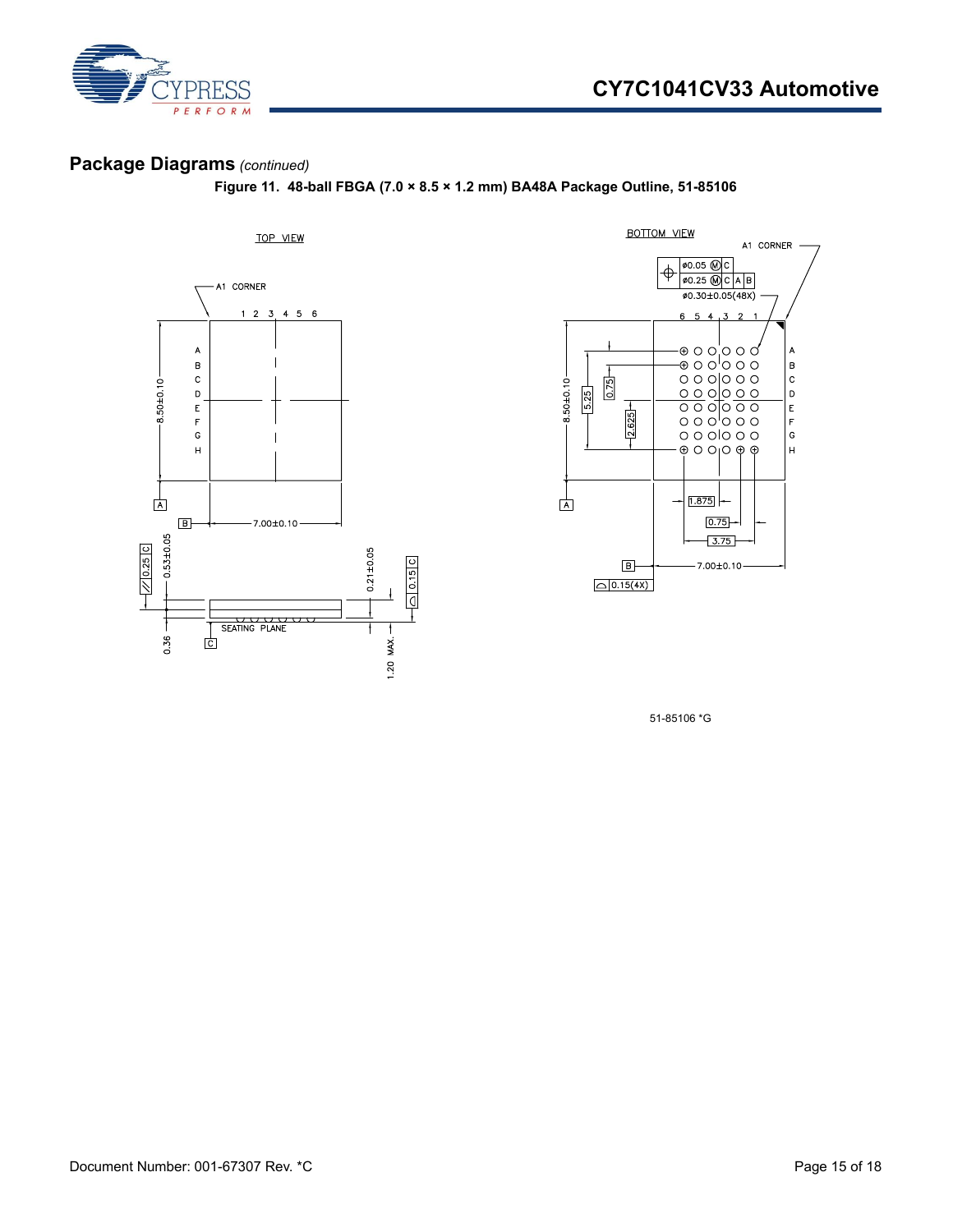



## **Package Diagrams** *(continued)*

**Figure 11. 48-ball FBGA (7.0 × 8.5 × 1.2 mm) BA48A Package Outline, 51-85106**





51-85106 \*G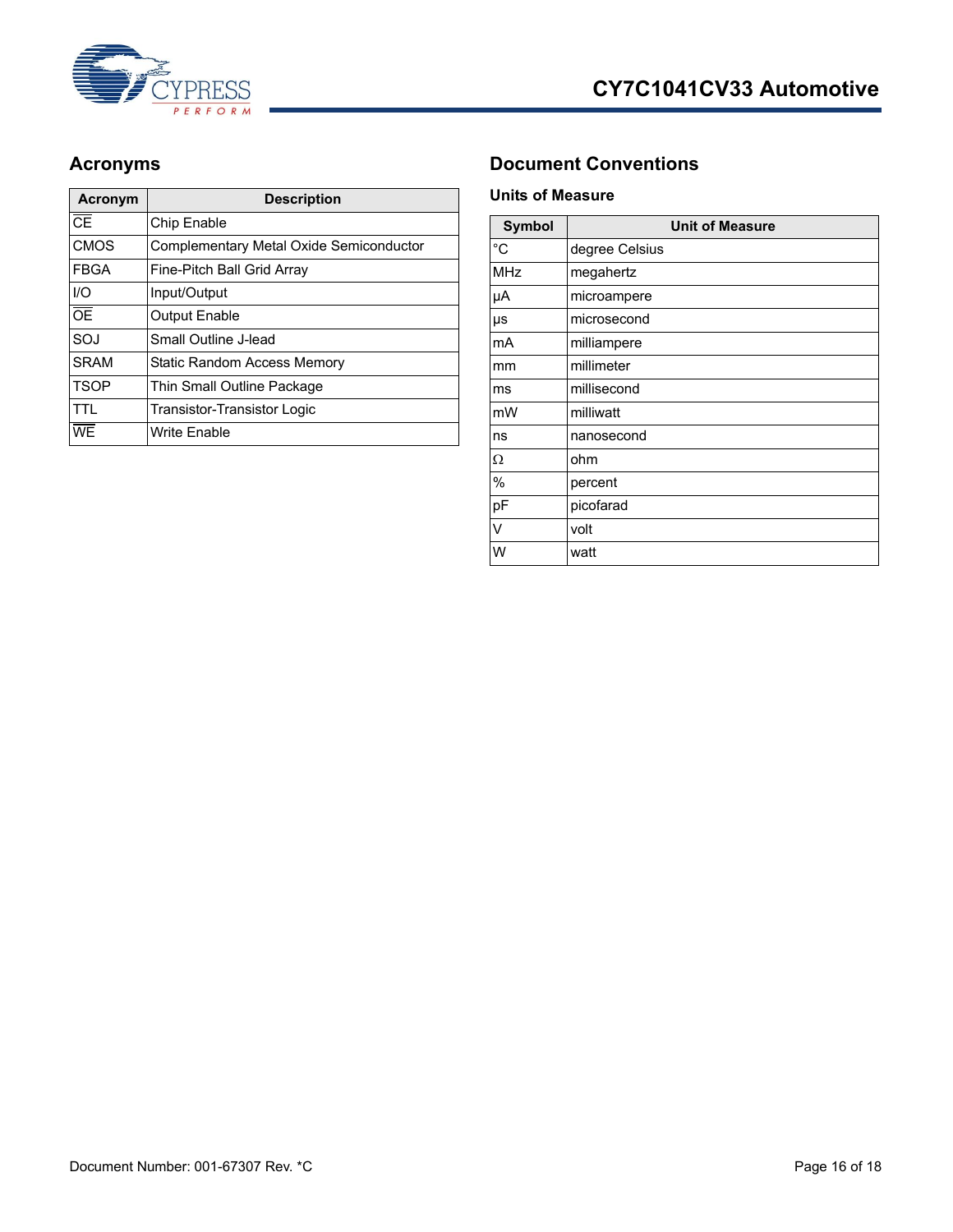

| Acronym                           | <b>Description</b>                      |
|-----------------------------------|-----------------------------------------|
| $\overline{\overline{\text{CE}}}$ | Chip Enable                             |
| <b>CMOS</b>                       | Complementary Metal Oxide Semiconductor |
| <b>FBGA</b>                       | Fine-Pitch Ball Grid Array              |
| I/O                               | Input/Output                            |
| $\overline{OE}$                   | <b>Output Enable</b>                    |
| SOJ                               | Small Outline J-lead                    |
| <b>SRAM</b>                       | Static Random Access Memory             |
| <b>TSOP</b>                       | Thin Small Outline Package              |
| TTL                               | <b>Transistor-Transistor Logic</b>      |
| WE                                | <b>Write Enable</b>                     |

## <span id="page-15-0"></span>**Acronyms Document Conventions**

#### <span id="page-15-2"></span><span id="page-15-1"></span>**Units of Measure**

| <b>Symbol</b> | <b>Unit of Measure</b> |
|---------------|------------------------|
| $^{\circ}C$   | degree Celsius         |
| <b>MHz</b>    | megahertz              |
| μA            | microampere            |
| μs            | microsecond            |
| mA            | milliampere            |
| mm            | millimeter             |
| ms            | millisecond            |
| mW            | milliwatt              |
| ns            | nanosecond             |
| Ω             | ohm                    |
| $\%$          | percent                |
| pF            | picofarad              |
| V             | volt                   |
| W             | watt                   |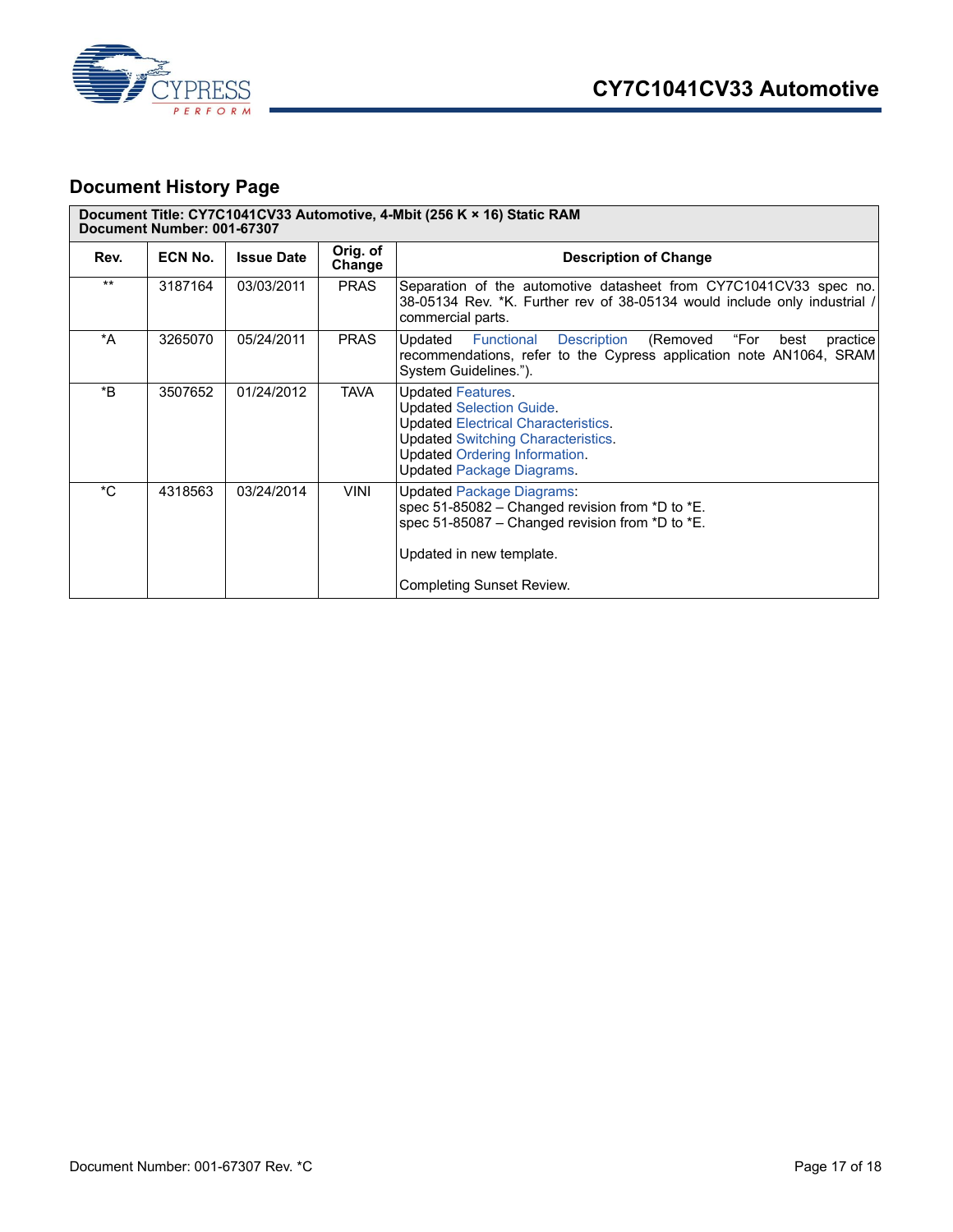



## <span id="page-16-0"></span>**Document History Page**

| Document Title: CY7C1041CV33 Automotive, 4-Mbit (256 K × 16) Static RAM<br>Document Number: 001-67307 |         |                   |                    |                                                                                                                                                                                                                                    |
|-------------------------------------------------------------------------------------------------------|---------|-------------------|--------------------|------------------------------------------------------------------------------------------------------------------------------------------------------------------------------------------------------------------------------------|
| Rev.                                                                                                  | ECN No. | <b>Issue Date</b> | Orig. of<br>Change | <b>Description of Change</b>                                                                                                                                                                                                       |
| $***$                                                                                                 | 3187164 | 03/03/2011        | <b>PRAS</b>        | Separation of the automotive datasheet from CY7C1041CV33 spec no.<br>38-05134 Rev. *K. Further rev of 38-05134 would include only industrial /<br>commercial parts.                                                                |
| *A                                                                                                    | 3265070 | 05/24/2011        | <b>PRAS</b>        | "For<br>Updated<br>Description<br>(Removed<br>practice<br>Functional<br>best<br>recommendations, refer to the Cypress application note AN1064, SRAM<br>System Guidelines.").                                                       |
| *B                                                                                                    | 3507652 | 01/24/2012        | <b>TAVA</b>        | <b>Updated Features.</b><br><b>Updated Selection Guide.</b><br><b>Updated Electrical Characteristics.</b><br><b>Updated Switching Characteristics.</b><br><b>Updated Ordering Information.</b><br><b>Updated Package Diagrams.</b> |
| *C                                                                                                    | 4318563 | 03/24/2014        | <b>VINI</b>        | <b>Updated Package Diagrams:</b><br>spec 51-85082 - Changed revision from *D to *E.<br>spec 51-85087 - Changed revision from *D to *E.<br>Updated in new template.<br><b>Completing Sunset Review.</b>                             |